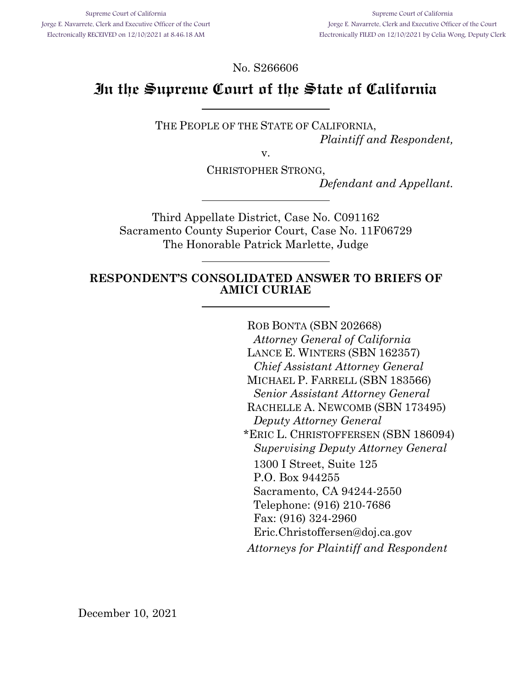No. S266606

# **In the Supreme Court of the State of California**

THE PEOPLE OF THE STATE OF CALIFORNIA, *Plaintiff and Respondent,*

v.

CHRISTOPHER STRONG,

*Defendant and Appellant.*

Third Appellate District, Case No. C091162 Sacramento County Superior Court, Case No. 11F06729 The Honorable Patrick Marlette, Judge

#### **RESPONDENT'S CONSOLIDATED ANSWER TO BRIEFS OF AMICI CURIAE**

ROB BONTA (SBN 202668) *Attorney General of California* LANCE E. WINTERS (SBN 162357) *Chief Assistant Attorney General* MICHAEL P. FARRELL (SBN 183566) *Senior Assistant Attorney General* RACHELLE A. NEWCOMB (SBN 173495) *Deputy Attorney General* \*ERIC L. CHRISTOFFERSEN (SBN 186094) *Supervising Deputy Attorney General* 1300 I Street, Suite 125 P.O. Box 944255 Sacramento, CA 94244-2550 Telephone: (916) 210-7686 Fax: (916) 324-2960 Eric.Christoffersen@doj.ca.gov *Attorneys for Plaintiff and Respondent*

December 10, 2021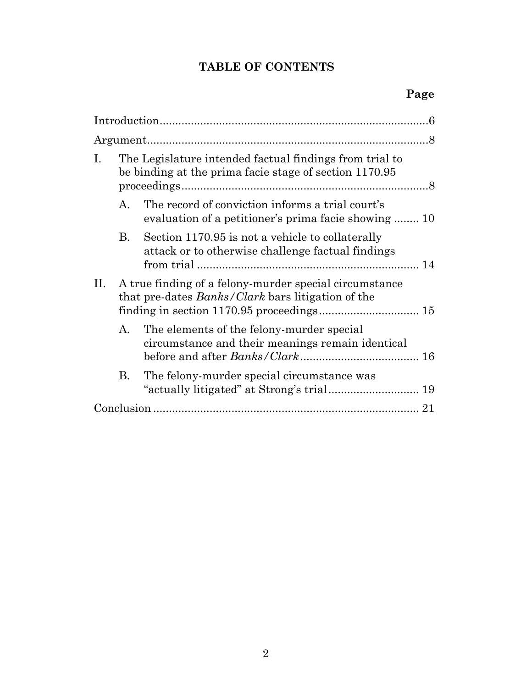# **TABLE OF CONTENTS**

| Ι. | The Legislature intended factual findings from trial to<br>be binding at the prima facie stage of section 1170.95  |                                                                                                          |
|----|--------------------------------------------------------------------------------------------------------------------|----------------------------------------------------------------------------------------------------------|
|    | $\mathsf{A}$ .                                                                                                     | The record of conviction informs a trial court's<br>evaluation of a petitioner's prima facie showing  10 |
|    | В.                                                                                                                 | Section 1170.95 is not a vehicle to collaterally<br>attack or to otherwise challenge factual findings    |
| П. | A true finding of a felony-murder special circumstance<br>that pre-dates <i>Banks/Clark</i> bars litigation of the |                                                                                                          |
|    | $A_{\cdot}$                                                                                                        | The elements of the felony-murder special<br>circumstance and their meanings remain identical            |
|    | В.                                                                                                                 | The felony-murder special circumstance was                                                               |
|    |                                                                                                                    |                                                                                                          |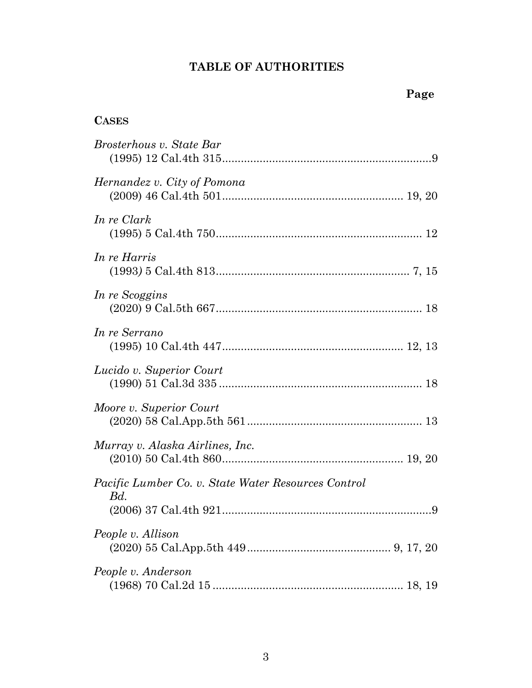# **TABLE OF AUTHORITIES**

# **CASES**

| Brosterhous v. State Bar                                   |
|------------------------------------------------------------|
| Hernandez v. City of Pomona                                |
| In re Clark                                                |
| In re Harris                                               |
| In re Scoggins                                             |
| In re Serrano                                              |
| Lucido v. Superior Court                                   |
| Moore v. Superior Court                                    |
| Murray v. Alaska Airlines, Inc.                            |
| Pacific Lumber Co. v. State Water Resources Control<br>Bd. |
| People v. Allison                                          |
| People v. Anderson                                         |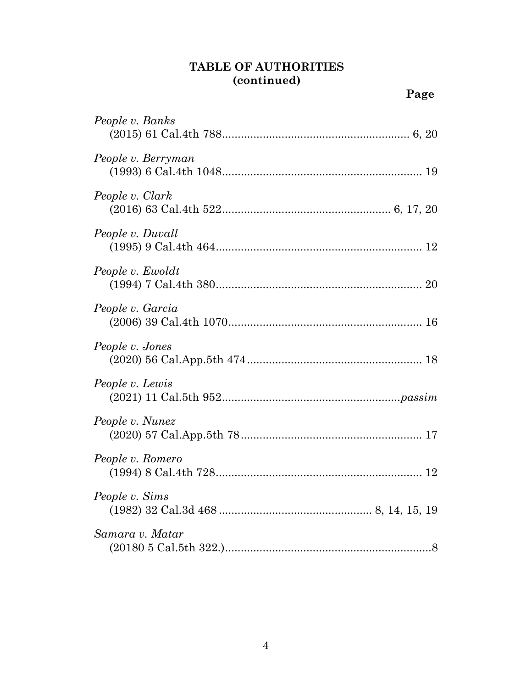### **TABLE OF AUTHORITIES (continued)**

*People v. Banks*

*People v. Clark*

*People v. Duvall*

*People v. Ewoldt*

*People v. Berryman*

|                               | Page |
|-------------------------------|------|
| ople v. Banks                 |      |
| pple v. Berryman              |      |
| ople v. Clark                 |      |
| pple v. Duvall                |      |
| pple v. Ewoldt                |      |
| ople v. Garcia                |      |
| pple v. Jones                 |      |
| pple v. Lewis                 |      |
| $\overline{1}$ $\overline{1}$ |      |

# *People v. Garcia* (2006) 39 Cal.4th 1070.............................................................. 16 *People v. Jones* (2020) 56 Cal.App.5th 474........................................................ 18 *People v. Lewis* (2021) 11 Cal.5th *People v. Nunez* (2020) 57 Cal.App.5th 78.......................................................... 17 *People v. Romero* (1994) 8 Cal.4th 728.................................................................. 12 *People v. Sims* (1982) 32 Cal.3d 468 ................................................. 8, 14, 15, 19 *Samara v. Matar* (20180 5 Cal.5th 322.)..................................................................8

4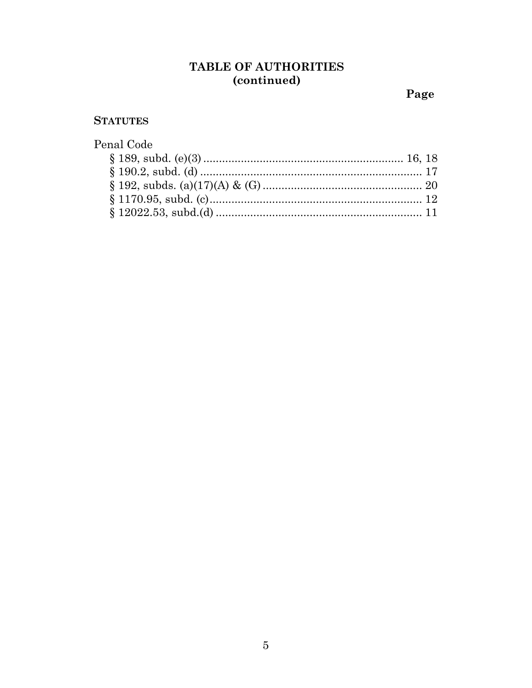# TABLE OF AUTHORITIES (continued)

Page

### **STATUTES**

| Penal Code |  |
|------------|--|
|            |  |
|            |  |
|            |  |
|            |  |
|            |  |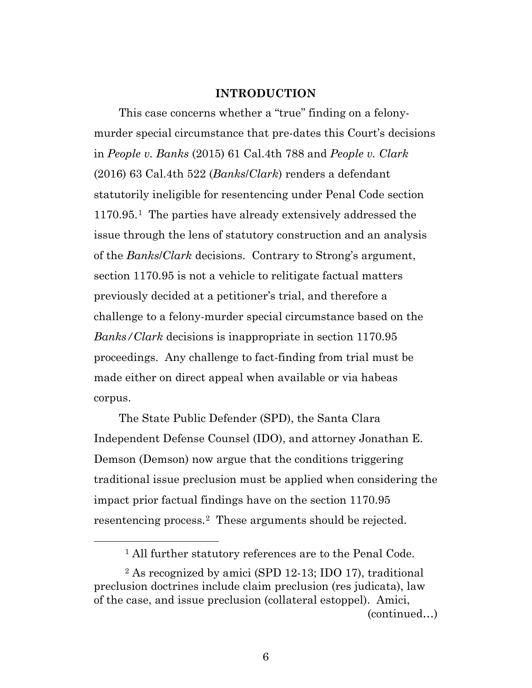#### **INTRODUCTION**

This case concerns whether a "true" finding on a felonymurder special circumstance that pre-dates this Court's decisions in *People v. Banks* (2015) 61 Cal.4th 788 and *People v. Clark* (2016) 63 Cal.4th 522 (*Banks*/*Clark*) renders a defendant statutorily ineligible for resentencing under Penal Code section 1170.95.[1](#page-5-0) The parties have already extensively addressed the issue through the lens of statutory construction and an analysis of the *Banks*/*Clark* decisions. Contrary to Strong's argument, section 1170.95 is not a vehicle to relitigate factual matters previously decided at a petitioner's trial, and therefore a challenge to a felony-murder special circumstance based on the *Banks/Clark* decisions is inappropriate in section 1170.95 proceedings. Any challenge to fact-finding from trial must be made either on direct appeal when available or via habeas corpus.

The State Public Defender (SPD), the Santa Clara Independent Defense Counsel (IDO), and attorney Jonathan E. Demson (Demson) now argue that the conditions triggering traditional issue preclusion must be applied when considering the impact prior factual findings have on the section 1170.95 resentencing process.[2](#page-5-1) These arguments should be rejected.

(continued…)

 <sup>1</sup> All further statutory references are to the Penal Code.

<span id="page-5-1"></span><span id="page-5-0"></span><sup>2</sup> As recognized by amici (SPD 12-13; IDO 17), traditional preclusion doctrines include claim preclusion (res judicata), law of the case, and issue preclusion (collateral estoppel). Amici,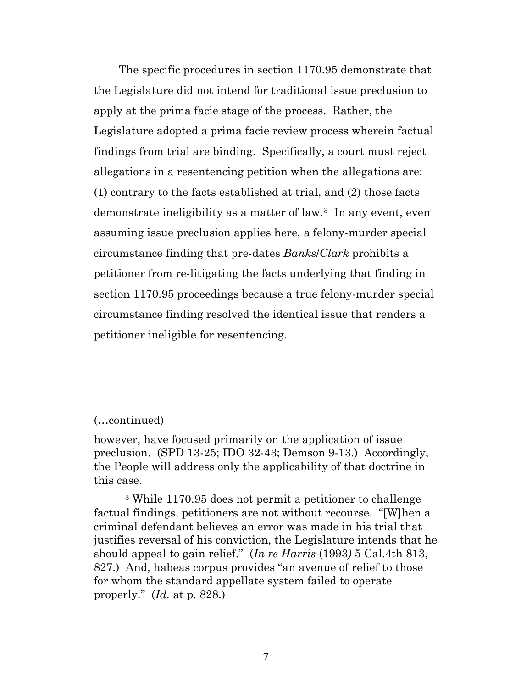The specific procedures in section 1170.95 demonstrate that the Legislature did not intend for traditional issue preclusion to apply at the prima facie stage of the process. Rather, the Legislature adopted a prima facie review process wherein factual findings from trial are binding. Specifically, a court must reject allegations in a resentencing petition when the allegations are: (1) contrary to the facts established at trial, and (2) those facts demonstrate ineligibility as a matter of law.[3](#page-6-0) In any event, even assuming issue preclusion applies here, a felony-murder special circumstance finding that pre-dates *Banks*/*Clark* prohibits a petitioner from re-litigating the facts underlying that finding in section 1170.95 proceedings because a true felony-murder special circumstance finding resolved the identical issue that renders a petitioner ineligible for resentencing.

 $\overline{a}$ 

<sup>(…</sup>continued)

however, have focused primarily on the application of issue preclusion. (SPD 13-25; IDO 32-43; Demson 9-13.) Accordingly, the People will address only the applicability of that doctrine in this case.

<span id="page-6-0"></span><sup>3</sup> While 1170.95 does not permit a petitioner to challenge factual findings, petitioners are not without recourse. "[W]hen a criminal defendant believes an error was made in his trial that justifies reversal of his conviction, the Legislature intends that he should appeal to gain relief." (*In re Harris* (1993*)* 5 Cal.4th 813, 827.) And, habeas corpus provides "an avenue of relief to those for whom the standard appellate system failed to operate properly." (*Id.* at p. 828.)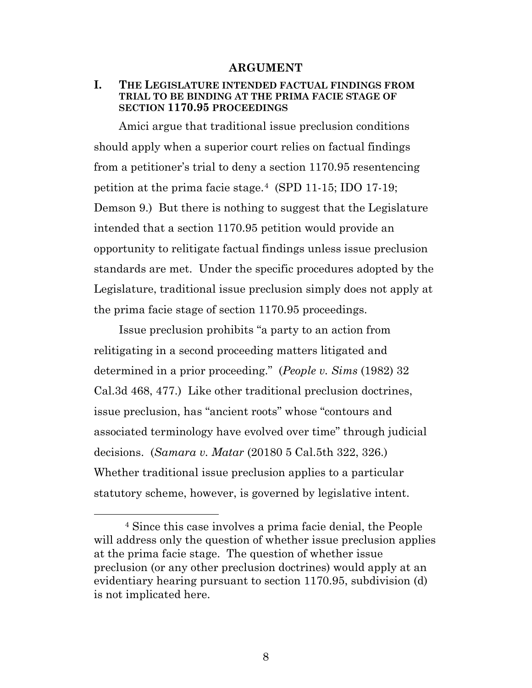#### **ARGUMENT**

#### **I. THE LEGISLATURE INTENDED FACTUAL FINDINGS FROM TRIAL TO BE BINDING AT THE PRIMA FACIE STAGE OF SECTION 1170.95 PROCEEDINGS**

Amici argue that traditional issue preclusion conditions should apply when a superior court relies on factual findings from a petitioner's trial to deny a section 1170.95 resentencing petition at the prima facie stage.[4](#page-7-0) (SPD 11-15; IDO 17-19; Demson 9.) But there is nothing to suggest that the Legislature intended that a section 1170.95 petition would provide an opportunity to relitigate factual findings unless issue preclusion standards are met. Under the specific procedures adopted by the Legislature, traditional issue preclusion simply does not apply at the prima facie stage of section 1170.95 proceedings.

Issue preclusion prohibits "a party to an action from relitigating in a second proceeding matters litigated and determined in a prior proceeding." (*People v. Sims* (1982) 32 Cal.3d 468, 477.) Like other traditional preclusion doctrines, issue preclusion, has "ancient roots" whose "contours and associated terminology have evolved over time" through judicial decisions. (*Samara v. Matar* (20180 5 Cal.5th 322, 326.) Whether traditional issue preclusion applies to a particular statutory scheme, however, is governed by legislative intent.

<span id="page-7-0"></span> <sup>4</sup> Since this case involves a prima facie denial, the People will address only the question of whether issue preclusion applies at the prima facie stage. The question of whether issue preclusion (or any other preclusion doctrines) would apply at an evidentiary hearing pursuant to section 1170.95, subdivision (d) is not implicated here.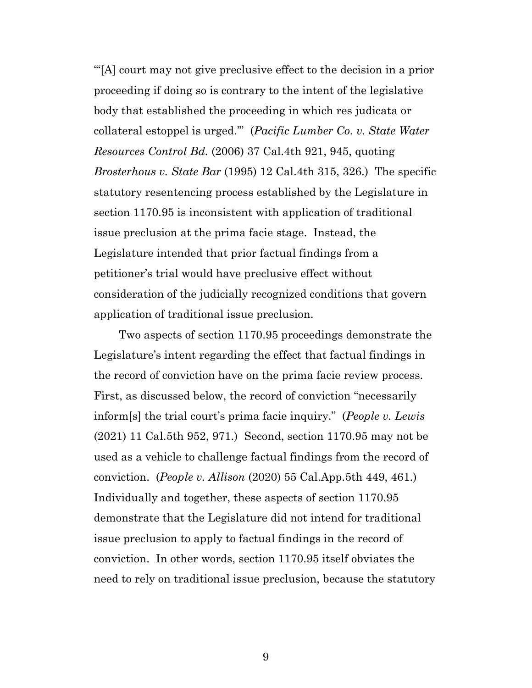"'[A] court may not give preclusive effect to the decision in a prior proceeding if doing so is contrary to the intent of the legislative body that established the proceeding in which res judicata or collateral estoppel is urged.'" (*Pacific Lumber Co. v. State Water Resources Control Bd.* (2006) 37 Cal.4th 921, 945, quoting *Brosterhous v. State Bar* (1995) 12 Cal.4th 315, 326.) The specific statutory resentencing process established by the Legislature in section 1170.95 is inconsistent with application of traditional issue preclusion at the prima facie stage. Instead, the Legislature intended that prior factual findings from a petitioner's trial would have preclusive effect without consideration of the judicially recognized conditions that govern application of traditional issue preclusion.

Two aspects of section 1170.95 proceedings demonstrate the Legislature's intent regarding the effect that factual findings in the record of conviction have on the prima facie review process. First, as discussed below, the record of conviction "necessarily inform[s] the trial court's prima facie inquiry." (*People v. Lewis* (2021) 11 Cal.5th 952, 971.) Second, section 1170.95 may not be used as a vehicle to challenge factual findings from the record of conviction. (*People v. Allison* (2020) 55 Cal.App.5th 449, 461.) Individually and together, these aspects of section 1170.95 demonstrate that the Legislature did not intend for traditional issue preclusion to apply to factual findings in the record of conviction. In other words, section 1170.95 itself obviates the need to rely on traditional issue preclusion, because the statutory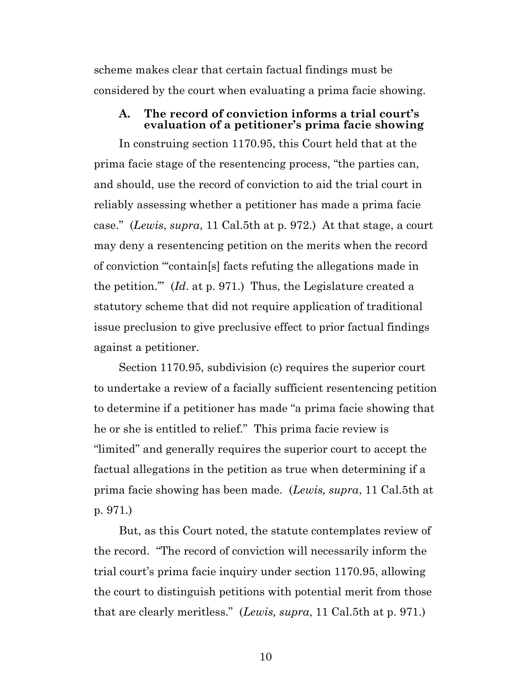scheme makes clear that certain factual findings must be considered by the court when evaluating a prima facie showing.

#### **A. The record of conviction informs a trial court's evaluation of a petitioner's prima facie showing**

In construing section 1170.95, this Court held that at the prima facie stage of the resentencing process, "the parties can, and should, use the record of conviction to aid the trial court in reliably assessing whether a petitioner has made a prima facie case." (*Lewis*, *supra*, 11 Cal.5th at p. 972.) At that stage, a court may deny a resentencing petition on the merits when the record of conviction "'contain[s] facts refuting the allegations made in the petition.'" (*Id*. at p. 971.) Thus, the Legislature created a statutory scheme that did not require application of traditional issue preclusion to give preclusive effect to prior factual findings against a petitioner.

Section 1170.95, subdivision (c) requires the superior court to undertake a review of a facially sufficient resentencing petition to determine if a petitioner has made "a prima facie showing that he or she is entitled to relief." This prima facie review is "limited" and generally requires the superior court to accept the factual allegations in the petition as true when determining if a prima facie showing has been made. (*Lewis, supra*, 11 Cal.5th at p. 971.)

But, as this Court noted, the statute contemplates review of the record. "The record of conviction will necessarily inform the trial court's prima facie inquiry under section 1170.95, allowing the court to distinguish petitions with potential merit from those that are clearly meritless." (*Lewis, supra*, 11 Cal.5th at p. 971.)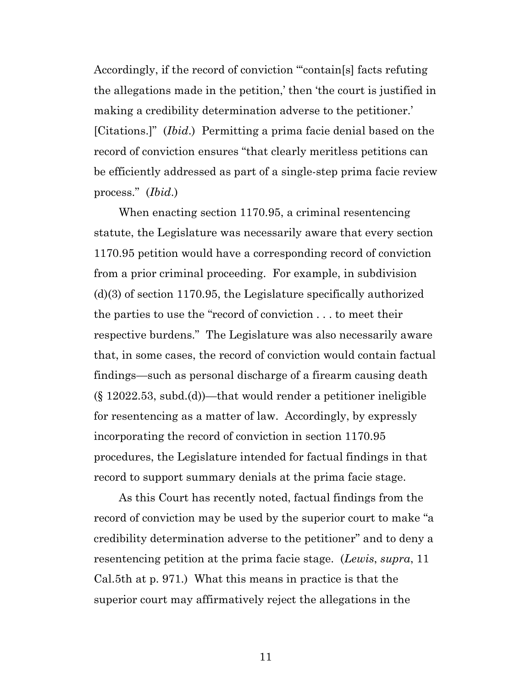Accordingly, if the record of conviction "'contain[s] facts refuting the allegations made in the petition,' then 'the court is justified in making a credibility determination adverse to the petitioner.' [Citations.]" (*Ibid*.) Permitting a prima facie denial based on the record of conviction ensures "that clearly meritless petitions can be efficiently addressed as part of a single-step prima facie review process." (*Ibid*.)

When enacting section 1170.95, a criminal resentencing statute, the Legislature was necessarily aware that every section 1170.95 petition would have a corresponding record of conviction from a prior criminal proceeding. For example, in subdivision (d)(3) of section 1170.95, the Legislature specifically authorized the parties to use the "record of conviction . . . to meet their respective burdens." The Legislature was also necessarily aware that, in some cases, the record of conviction would contain factual findings—such as personal discharge of a firearm causing death (§ 12022.53, subd.(d))—that would render a petitioner ineligible for resentencing as a matter of law. Accordingly, by expressly incorporating the record of conviction in section 1170.95 procedures, the Legislature intended for factual findings in that record to support summary denials at the prima facie stage.

As this Court has recently noted, factual findings from the record of conviction may be used by the superior court to make "a credibility determination adverse to the petitioner" and to deny a resentencing petition at the prima facie stage. (*Lewis*, *supra*, 11 Cal.5th at p. 971.) What this means in practice is that the superior court may affirmatively reject the allegations in the

11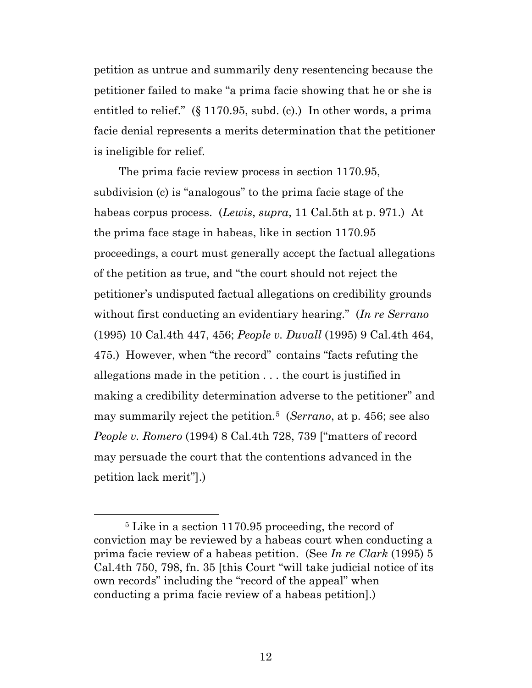petition as untrue and summarily deny resentencing because the petitioner failed to make "a prima facie showing that he or she is entitled to relief." (§ 1170.95, subd. (c).) In other words, a prima facie denial represents a merits determination that the petitioner is ineligible for relief.

The prima facie review process in section 1170.95, subdivision (c) is "analogous" to the prima facie stage of the habeas corpus process. (*Lewis*, *supra*, 11 Cal.5th at p. 971.) At the prima face stage in habeas, like in section 1170.95 proceedings, a court must generally accept the factual allegations of the petition as true, and "the court should not reject the petitioner's undisputed factual allegations on credibility grounds without first conducting an evidentiary hearing." (*In re Serrano* (1995) 10 Cal.4th 447, 456; *People v. Duvall* (1995) 9 Cal.4th 464, 475.) However, when "the record" contains "facts refuting the allegations made in the petition . . . the court is justified in making a credibility determination adverse to the petitioner" and may summarily reject the petition.[5](#page-11-0) (*Serrano*, at p. 456; see also *People v. Romero* (1994) 8 Cal.4th 728, 739 ["matters of record may persuade the court that the contentions advanced in the petition lack merit"].)

<span id="page-11-0"></span> <sup>5</sup> Like in a section 1170.95 proceeding, the record of conviction may be reviewed by a habeas court when conducting a prima facie review of a habeas petition. (See *In re Clark* (1995) 5 Cal.4th 750, 798, fn. 35 [this Court "will take judicial notice of its own records" including the "record of the appeal" when conducting a prima facie review of a habeas petition].)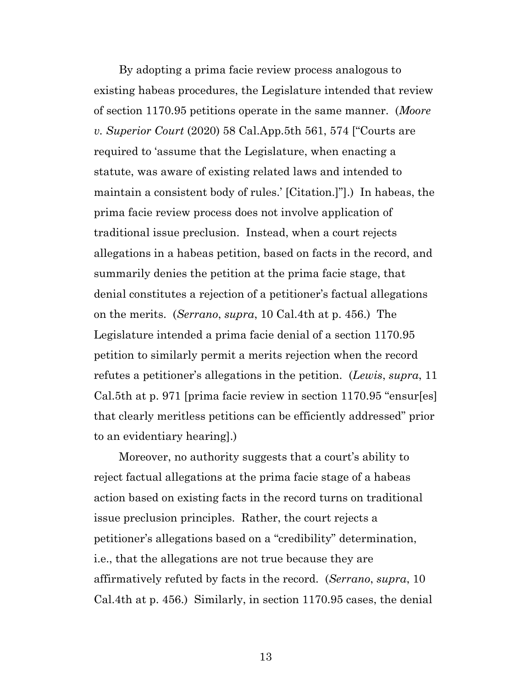By adopting a prima facie review process analogous to existing habeas procedures, the Legislature intended that review of section 1170.95 petitions operate in the same manner. (*Moore v. Superior Court* (2020) 58 Cal.App.5th 561, 574 ["Courts are required to 'assume that the Legislature, when enacting a statute, was aware of existing related laws and intended to maintain a consistent body of rules.' [Citation.]"].) In habeas, the prima facie review process does not involve application of traditional issue preclusion. Instead, when a court rejects allegations in a habeas petition, based on facts in the record, and summarily denies the petition at the prima facie stage, that denial constitutes a rejection of a petitioner's factual allegations on the merits. (*Serrano*, *supra*, 10 Cal.4th at p. 456.) The Legislature intended a prima facie denial of a section 1170.95 petition to similarly permit a merits rejection when the record refutes a petitioner's allegations in the petition. (*Lewis*, *supra*, 11 Cal.5th at p. 971 [prima facie review in section 1170.95 "ensur[es] that clearly meritless petitions can be efficiently addressed" prior to an evidentiary hearing].)

Moreover, no authority suggests that a court's ability to reject factual allegations at the prima facie stage of a habeas action based on existing facts in the record turns on traditional issue preclusion principles. Rather, the court rejects a petitioner's allegations based on a "credibility" determination, i.e., that the allegations are not true because they are affirmatively refuted by facts in the record. (*Serrano*, *supra*, 10 Cal.4th at p. 456.) Similarly, in section 1170.95 cases, the denial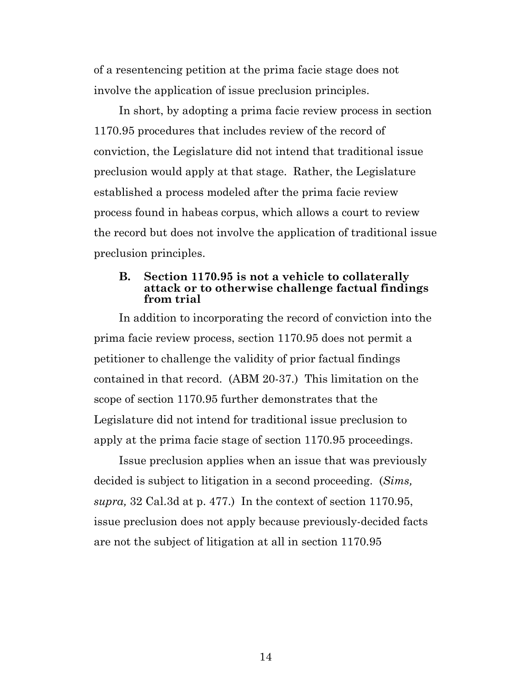of a resentencing petition at the prima facie stage does not involve the application of issue preclusion principles.

In short, by adopting a prima facie review process in section 1170.95 procedures that includes review of the record of conviction, the Legislature did not intend that traditional issue preclusion would apply at that stage. Rather, the Legislature established a process modeled after the prima facie review process found in habeas corpus, which allows a court to review the record but does not involve the application of traditional issue preclusion principles.

#### **B. Section 1170.95 is not a vehicle to collaterally attack or to otherwise challenge factual findings from trial**

In addition to incorporating the record of conviction into the prima facie review process, section 1170.95 does not permit a petitioner to challenge the validity of prior factual findings contained in that record. (ABM 20-37.) This limitation on the scope of section 1170.95 further demonstrates that the Legislature did not intend for traditional issue preclusion to apply at the prima facie stage of section 1170.95 proceedings.

Issue preclusion applies when an issue that was previously decided is subject to litigation in a second proceeding. (*Sims, supra,* 32 Cal.3d at p. 477.) In the context of section 1170.95, issue preclusion does not apply because previously-decided facts are not the subject of litigation at all in section 1170.95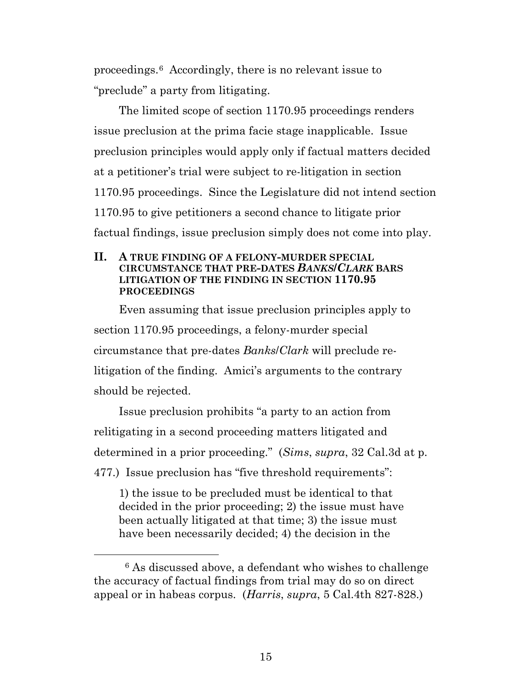proceedings.[6](#page-14-0) Accordingly, there is no relevant issue to "preclude" a party from litigating.

The limited scope of section 1170.95 proceedings renders issue preclusion at the prima facie stage inapplicable. Issue preclusion principles would apply only if factual matters decided at a petitioner's trial were subject to re-litigation in section 1170.95 proceedings. Since the Legislature did not intend section 1170.95 to give petitioners a second chance to litigate prior factual findings, issue preclusion simply does not come into play.

#### **II. A TRUE FINDING OF A FELONY-MURDER SPECIAL CIRCUMSTANCE THAT PRE-DATES** *BANKS***/***CLARK* **BARS LITIGATION OF THE FINDING IN SECTION 1170.95 PROCEEDINGS**

Even assuming that issue preclusion principles apply to section 1170.95 proceedings, a felony-murder special circumstance that pre-dates *Banks*/*Clark* will preclude relitigation of the finding. Amici's arguments to the contrary should be rejected.

Issue preclusion prohibits "a party to an action from relitigating in a second proceeding matters litigated and determined in a prior proceeding." (*Sims*, *supra*, 32 Cal.3d at p. 477.) Issue preclusion has "five threshold requirements":

1) the issue to be precluded must be identical to that decided in the prior proceeding; 2) the issue must have been actually litigated at that time; 3) the issue must have been necessarily decided; 4) the decision in the

<span id="page-14-0"></span> <sup>6</sup> As discussed above, a defendant who wishes to challenge the accuracy of factual findings from trial may do so on direct appeal or in habeas corpus. (*Harris*, *supra*, 5 Cal.4th 827-828.)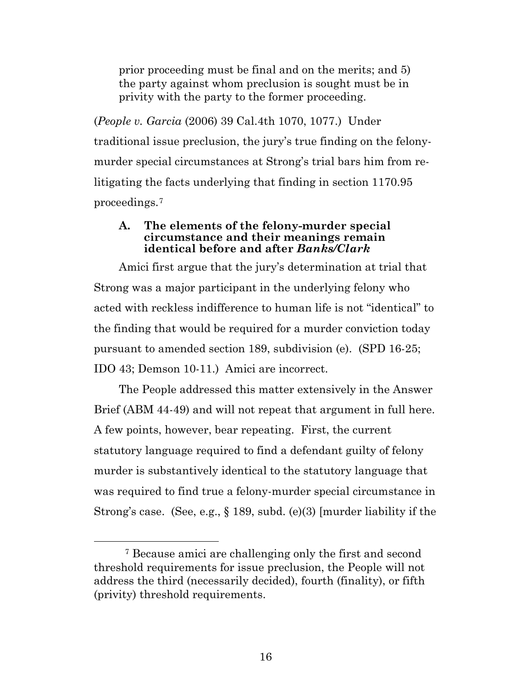prior proceeding must be final and on the merits; and 5) the party against whom preclusion is sought must be in privity with the party to the former proceeding.

(*People v. Garcia* (2006) 39 Cal.4th 1070, 1077.) Under traditional issue preclusion, the jury's true finding on the felonymurder special circumstances at Strong's trial bars him from relitigating the facts underlying that finding in section 1170.95 proceedings.[7](#page-15-0)

#### **A. The elements of the felony-murder special circumstance and their meanings remain identical before and after** *Banks/Clark*

Amici first argue that the jury's determination at trial that Strong was a major participant in the underlying felony who acted with reckless indifference to human life is not "identical" to the finding that would be required for a murder conviction today pursuant to amended section 189, subdivision (e). (SPD 16-25; IDO 43; Demson 10-11.) Amici are incorrect.

The People addressed this matter extensively in the Answer Brief (ABM 44-49) and will not repeat that argument in full here. A few points, however, bear repeating. First, the current statutory language required to find a defendant guilty of felony murder is substantively identical to the statutory language that was required to find true a felony-murder special circumstance in Strong's case. (See, e.g., § 189, subd. (e)(3) [murder liability if the

<span id="page-15-0"></span> <sup>7</sup> Because amici are challenging only the first and second threshold requirements for issue preclusion, the People will not address the third (necessarily decided), fourth (finality), or fifth (privity) threshold requirements.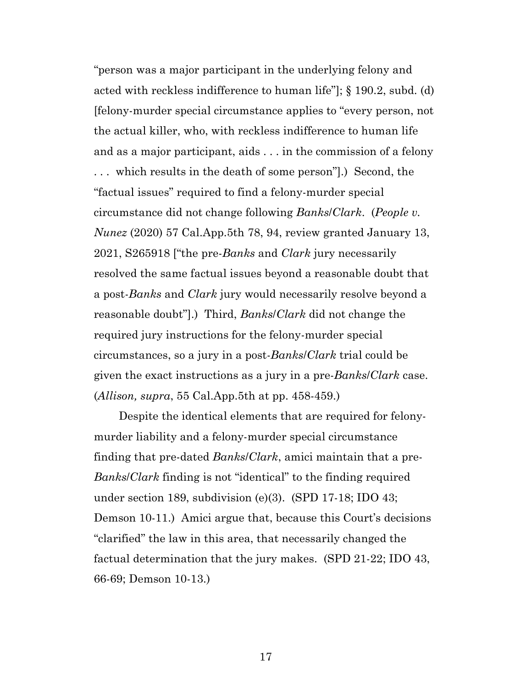"person was a major participant in the underlying felony and acted with reckless indifference to human life"]; § 190.2, subd. (d) [felony-murder special circumstance applies to "every person, not the actual killer, who, with reckless indifference to human life and as a major participant, aids . . . in the commission of a felony . . . which results in the death of some person"].) Second, the "factual issues" required to find a felony-murder special circumstance did not change following *Banks*/*Clark*. (*People v. Nunez* (2020) 57 Cal.App.5th 78, 94, review granted January 13, 2021, S265918 ["the pre-*Banks* and *Clark* jury necessarily resolved the same factual issues beyond a reasonable doubt that a post-*Banks* and *Clark* jury would necessarily resolve beyond a reasonable doubt"].) Third, *Banks*/*Clark* did not change the required jury instructions for the felony-murder special circumstances, so a jury in a post-*Banks*/*Clark* trial could be given the exact instructions as a jury in a pre-*Banks*/*Clark* case. (*Allison, supra*, 55 Cal.App.5th at pp. 458-459.)

Despite the identical elements that are required for felonymurder liability and a felony-murder special circumstance finding that pre-dated *Banks*/*Clark*, amici maintain that a pre-*Banks*/*Clark* finding is not "identical" to the finding required under section 189, subdivision (e)(3). (SPD 17-18; IDO 43; Demson 10-11.) Amici argue that, because this Court's decisions "clarified" the law in this area, that necessarily changed the factual determination that the jury makes. (SPD 21-22; IDO 43, 66-69; Demson 10-13.)

17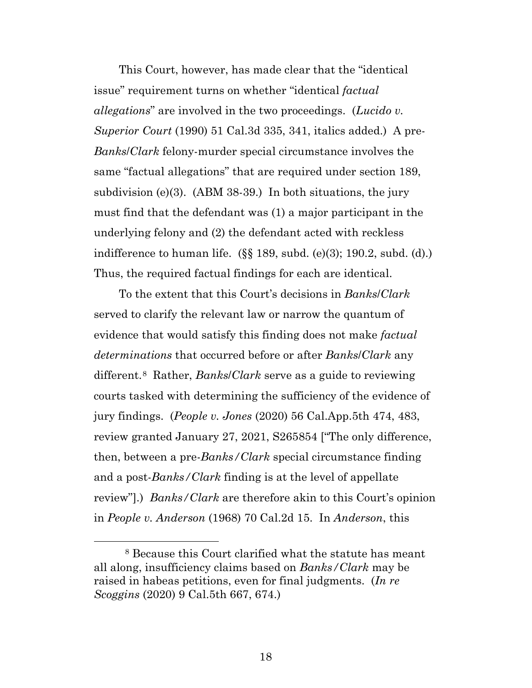This Court, however, has made clear that the "identical issue" requirement turns on whether "identical *factual allegations*" are involved in the two proceedings. (*Lucido v. Superior Court* (1990) 51 Cal.3d 335, 341, italics added.) A pre-*Banks*/*Clark* felony-murder special circumstance involves the same "factual allegations" that are required under section 189, subdivision (e)(3). (ABM 38-39.) In both situations, the jury must find that the defendant was (1) a major participant in the underlying felony and (2) the defendant acted with reckless indifference to human life. (§§ 189, subd. (e)(3); 190.2, subd. (d).) Thus, the required factual findings for each are identical.

To the extent that this Court's decisions in *Banks*/*Clark* served to clarify the relevant law or narrow the quantum of evidence that would satisfy this finding does not make *factual determinations* that occurred before or after *Banks*/*Clark* any different.[8](#page-17-0) Rather, *Banks*/*Clark* serve as a guide to reviewing courts tasked with determining the sufficiency of the evidence of jury findings. (*People v. Jones* (2020) 56 Cal.App.5th 474, 483, review granted January 27, 2021, S265854 ["The only difference, then, between a pre-*Banks/Clark* special circumstance finding and a post-*Banks/Clark* finding is at the level of appellate review"].) *Banks/Clark* are therefore akin to this Court's opinion in *People v. Anderson* (1968) 70 Cal.2d 15. In *Anderson*, this

<span id="page-17-0"></span> <sup>8</sup> Because this Court clarified what the statute has meant all along, insufficiency claims based on *Banks/Clark* may be raised in habeas petitions, even for final judgments. (*In re Scoggins* (2020) 9 Cal.5th 667, 674.)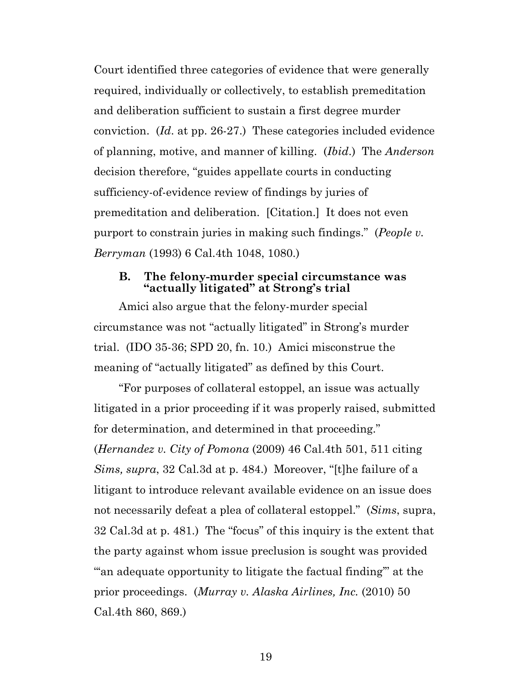Court identified three categories of evidence that were generally required, individually or collectively, to establish premeditation and deliberation sufficient to sustain a first degree murder conviction. (*Id*. at pp. 26-27.) These categories included evidence of planning, motive, and manner of killing. (*Ibid*.) The *Anderson* decision therefore, "guides appellate courts in conducting sufficiency-of-evidence review of findings by juries of premeditation and deliberation. [Citation.] It does not even purport to constrain juries in making such findings." (*People v. Berryman* (1993) 6 Cal.4th 1048, 1080.)

#### **B. The felony-murder special circumstance was "actually litigated" at Strong's trial**

Amici also argue that the felony-murder special circumstance was not "actually litigated" in Strong's murder trial. (IDO 35-36; SPD 20, fn. 10.) Amici misconstrue the meaning of "actually litigated" as defined by this Court.

"For purposes of collateral estoppel, an issue was actually litigated in a prior proceeding if it was properly raised, submitted for determination, and determined in that proceeding." (*Hernandez v. City of Pomona* (2009) 46 Cal.4th 501, 511 citing *Sims, supra*, 32 Cal.3d at p. 484.) Moreover, "[t]he failure of a litigant to introduce relevant available evidence on an issue does not necessarily defeat a plea of collateral estoppel." (*Sims*, supra, 32 Cal.3d at p. 481.) The "focus" of this inquiry is the extent that the party against whom issue preclusion is sought was provided "an adequate opportunity to litigate the factual finding" at the prior proceedings. (*Murray v. Alaska Airlines, Inc.* (2010) 50 Cal.4th 860, 869.)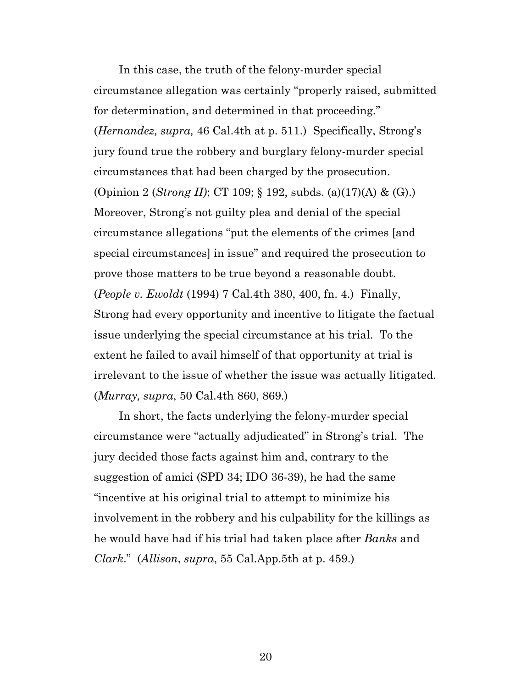In this case, the truth of the felony-murder special circumstance allegation was certainly "properly raised, submitted for determination, and determined in that proceeding." (*Hernandez, supra,* 46 Cal.4th at p. 511.) Specifically, Strong's jury found true the robbery and burglary felony-murder special circumstances that had been charged by the prosecution. (Opinion 2 (*Strong II)*; CT 109; § 192, subds. (a)(17)(A) & (G).) Moreover, Strong's not guilty plea and denial of the special circumstance allegations "put the elements of the crimes [and special circumstances] in issue" and required the prosecution to prove those matters to be true beyond a reasonable doubt. (*People v. Ewoldt* (1994) 7 Cal.4th 380, 400, fn. 4.) Finally, Strong had every opportunity and incentive to litigate the factual issue underlying the special circumstance at his trial. To the extent he failed to avail himself of that opportunity at trial is irrelevant to the issue of whether the issue was actually litigated. (*Murray, supra*, 50 Cal.4th 860, 869.)

In short, the facts underlying the felony-murder special circumstance were "actually adjudicated" in Strong's trial. The jury decided those facts against him and, contrary to the suggestion of amici (SPD 34; IDO 36-39), he had the same "incentive at his original trial to attempt to minimize his involvement in the robbery and his culpability for the killings as he would have had if his trial had taken place after *Banks* and *Clark*." (*Allison*, *supra*, 55 Cal.App.5th at p. 459.)

20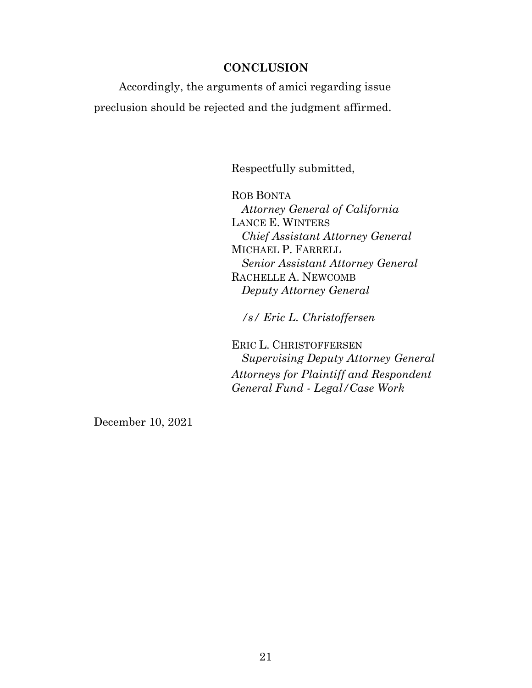#### **CONCLUSION**

Accordingly, the arguments of amici regarding issue preclusion should be rejected and the judgment affirmed.

Respectfully submitted,

ROB BONTA *Attorney General of California* LANCE E. WINTERS *Chief Assistant Attorney General* MICHAEL P. FARRELL *Senior Assistant Attorney General* RACHELLE A. NEWCOMB *Deputy Attorney General*

*/s/ Eric L. Christoffersen*

ERIC L. CHRISTOFFERSEN *Supervising Deputy Attorney General Attorneys for Plaintiff and Respondent General Fund - Legal/Case Work*

December 10, 2021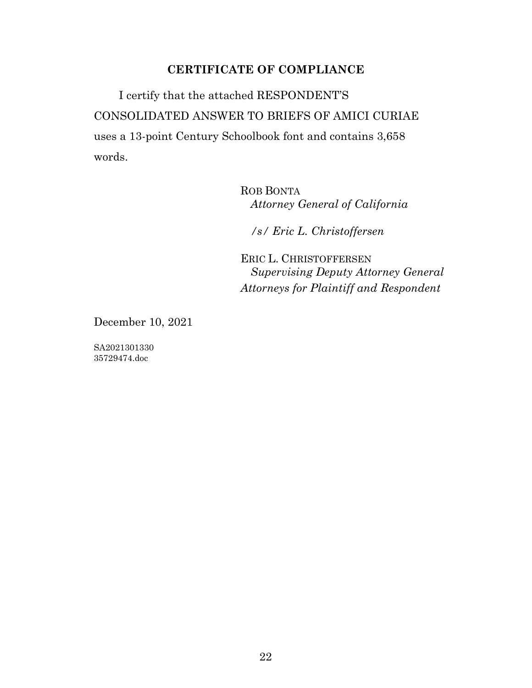## **CERTIFICATE OF COMPLIANCE**

I certify that the attached RESPONDENT'S CONSOLIDATED ANSWER TO BRIEFS OF AMICI CURIAE uses a 13-point Century Schoolbook font and contains 3,658 words.

> ROB BONTA *Attorney General of California*

*/s/ Eric L. Christoffersen*

ERIC L. CHRISTOFFERSEN *Supervising Deputy Attorney General Attorneys for Plaintiff and Respondent*

December 10, 2021

SA2021301330 35729474.doc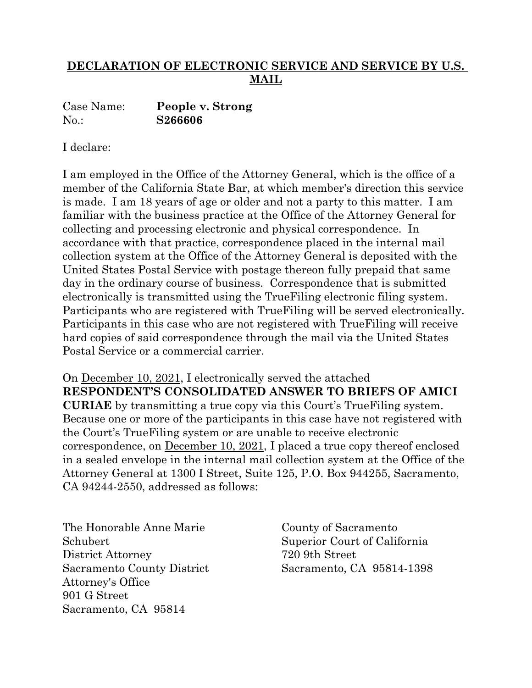# **DECLARATION OF ELECTRONIC SERVICE AND SERVICE BY U.S. MAIL**

Case Name: **People v. Strong** No.: **S266606**

I declare:

I am employed in the Office of the Attorney General, which is the office of a member of the California State Bar, at which member's direction this service is made. I am 18 years of age or older and not a party to this matter. I am familiar with the business practice at the Office of the Attorney General for collecting and processing electronic and physical correspondence. In accordance with that practice, correspondence placed in the internal mail collection system at the Office of the Attorney General is deposited with the United States Postal Service with postage thereon fully prepaid that same day in the ordinary course of business. Correspondence that is submitted electronically is transmitted using the TrueFiling electronic filing system. Participants who are registered with TrueFiling will be served electronically. Participants in this case who are not registered with TrueFiling will receive hard copies of said correspondence through the mail via the United States Postal Service or a commercial carrier.

On December 10, 2021, I electronically served the attached **RESPONDENT'S CONSOLIDATED ANSWER TO BRIEFS OF AMICI CURIAE** by transmitting a true copy via this Court's TrueFiling system. Because one or more of the participants in this case have not registered with the Court's TrueFiling system or are unable to receive electronic correspondence, on December 10, 2021, I placed a true copy thereof enclosed in a sealed envelope in the internal mail collection system at the Office of the Attorney General at 1300 I Street, Suite 125, P.O. Box 944255, Sacramento, CA 94244-2550, addressed as follows:

The Honorable Anne Marie Schubert District Attorney Sacramento County District Attorney's Office 901 G Street Sacramento, CA 95814

County of Sacramento Superior Court of California 720 9th Street Sacramento, CA 95814-1398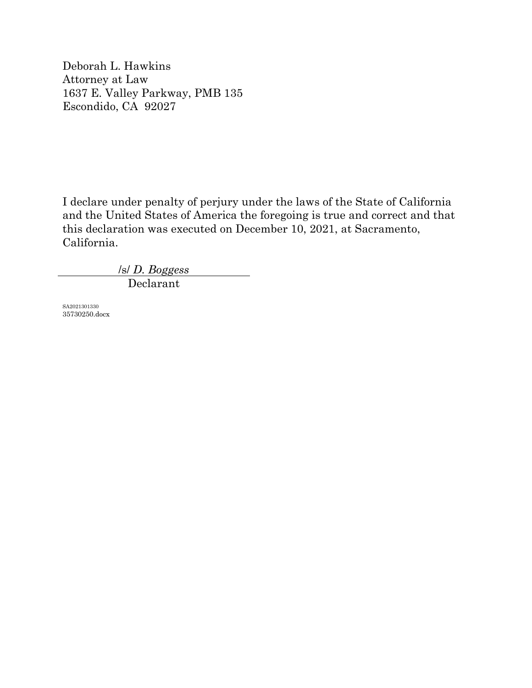Deborah L. Hawkins Attorney at Law 1637 E. Valley Parkway, PMB 135 Escondido, CA 92027

I declare under penalty of perjury under the laws of the State of California and the United States of America the foregoing is true and correct and that this declaration was executed on December 10, 2021, at Sacramento, California.

/s/ *D. Boggess*

Declarant

SA2021301330 35730250.docx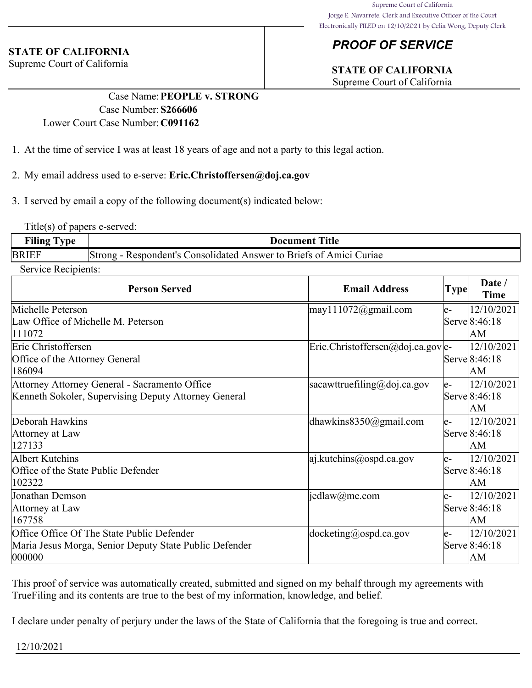# *PROOF OF SERVICE*

# **STATE OF CALIFORNIA**

Supreme Court of California

## **STATE OF CALIFORNIA**

Supreme Court of California

### Case Name:**PEOPLE v. STRONG** Case Number:**S266606** Lower Court Case Number:**C091162**

- 1. At the time of service I was at least 18 years of age and not a party to this legal action.
- 2. My email address used to e-serve: **Eric.Christoffersen@doj.ca.gov**
- 3. I served by email a copy of the following document(s) indicated below:

Title(s) of papers e-served:

| Filing T     | Title                                                                 |
|--------------|-----------------------------------------------------------------------|
| vpe          | Document 1                                                            |
| <b>BRIEF</b> | Respondent's Consolidated Answer to Briefs of Amici Curiae<br> Strong |

Service Recipients:

| <b>Person Served</b>                                   | <b>Email Address</b>                        | <b>Type</b> | Date /<br>Time |
|--------------------------------------------------------|---------------------------------------------|-------------|----------------|
| Michelle Peterson                                      | $\text{may}111072$ @gmail.com               | le-         | 12/10/2021     |
| Law Office of Michelle M. Peterson                     |                                             |             | Serve 8:46:18  |
| 111072                                                 |                                             |             | lАM            |
| Eric Christoffersen                                    | $\text{Eric.Christoffersen@doj.ca.gov}$  e- |             | 12/10/2021     |
| Office of the Attorney General                         |                                             |             | Serve 8:46:18  |
| 186094                                                 |                                             |             | lАM            |
| Attorney Attorney General - Sacramento Office          | sacawttruefiling@doj.ca.gov                 | le-         | 12/10/2021     |
| Kenneth Sokoler, Supervising Deputy Attorney General   |                                             |             | Serve 8:46:18  |
|                                                        |                                             |             | lАM            |
| Deborah Hawkins                                        | dhawkins $8350$ @gmail.com                  | le-         | 12/10/2021     |
| Attorney at Law                                        |                                             |             | Serve 8:46:18  |
| 127133                                                 |                                             |             | lАM            |
| Albert Kutchins                                        | $ a $ .kutchins@ospd.ca.gov                 | le-         | 12/10/2021     |
| Office of the State Public Defender                    |                                             |             | Serve 8:46:18  |
| 102322                                                 |                                             |             | lАM            |
| Jonathan Demson                                        | jedlaw@me.com                               | le-         | 12/10/2021     |
| Attorney at Law                                        |                                             |             | Serve 8:46:18  |
| 167758                                                 |                                             |             | lАM            |
| Office Office Of The State Public Defender             | $ $ docketing@ospd.ca.gov                   | le-         | 12/10/2021     |
| Maria Jesus Morga, Senior Deputy State Public Defender |                                             |             | Serve 8:46:18  |
| 000000                                                 |                                             |             | lАM            |

This proof of service was automatically created, submitted and signed on my behalf through my agreements with TrueFiling and its contents are true to the best of my information, knowledge, and belief.

I declare under penalty of perjury under the laws of the State of California that the foregoing is true and correct.